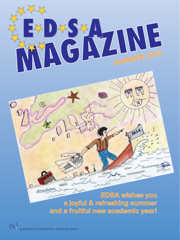

**EDSA wishes you a joyful & refreshing summer and a fruitful new academic year!**

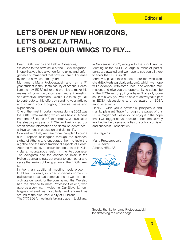# **LET'S OPEN UP NEW HORIZONS, LET'S BLAZE A TRAIL, LET'S OPEN OUR WINGS TO FLY…**

Dear EDSA Friends and Fellow Colleagues,

Welcome to the new issue of the EDSA magazine! I hope that you had a wonderful, relaxing and unforgettable summer and that now you are full of energy for the new academic year!

My name is Maria Protopapadaki and I am a 4<sup>th</sup> year student in the Dental faculty of Athens, Hellas. I am the new EDSA editor and promise to make this means of communication even more interesting and attractive. Therefore, I would like to ask you all to contribute to this effort by sending your articles and sharing your thoughts, opinions, news and experiences.

One of the most important events during 2002 was the XXIX EDSA meeting which was held in Athens from the 20<sup>th</sup> to the 24<sup>th</sup> of February. We evaluated the steady progress of EDSA and reinforced our ambitions for information and dental students' actual involvement in education and dental life.

Coupled with that, we were more than glad to guide our European colleagues through the historical sights of Athens and encourage them to taste the nightlife and the more traditional aspects of Hellas. After the meeting, an excursion took place in Kalavryta, a mountainous region in the Peloponnese. The delegates had the chance to relax in the Hellenic surroundings, get closer to each other and sense the feeling of being a family; the EDSA family…

In April, an additional meeting took place in Ljubljana, Slovenia, in order to discuss some crucial subjects that had come up and as well as to coordinate our work for the coming months. We also had the chance to meet Professor Scaleric, who gave us a very warm welcome. Our Slovenian colleagues offered us hospitality and showed us around to the picturesque city of Ljubljana.

The XXX EDSA meeting is taking place in Ljubljana,

in September 2002, along with the XXVIII Annual Meeting of the ADEE. A large number of participants are awaited and we hope to see you all there to savor the EDSA spirit!

Moreover, please take a look at our renewed website (http://edsa.globaldent.com), which we hope will provide you with some useful and versatile information, and give you the opportunity to subscribe to the EDSA e-group, if you haven't already done so! In this way, you will be able to actively take part in EDSA discussions and be aware of EDSA announcements.

Finally, I wish you a profitable, prosperous and, mainly, pleasant "travel" through the pages of this EDSA magazine! I leave you to enjoy it in the hope that it will trigger off your desire to become actively involved in the diverse activities of such a promising and successful association…

Best regards…

Maria Protopapadaki EDSA editor Athens, HELLAS

Meurofoum



Special thanks to Ioana Protopapadaki for sketching the cover page.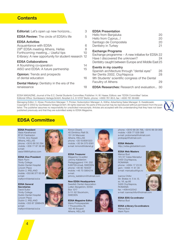## **Contents**

| Editorial: Let's open up new horizons                                                           | 3        | <b>EDSA Presenta</b>                                        |
|-------------------------------------------------------------------------------------------------|----------|-------------------------------------------------------------|
| <b>EDSA Review:</b> The circle of EDSA's life                                                   | 5        | Hello from Banja<br>Hello from Cypri                        |
| <b>EDSA Activities</b><br>Acquaintance with EDSA<br>29th EDSA meeting Athens, Hellas            | 6<br>8   | Santiago de Cor<br>Dentistry in Turk                        |
| Forthcoming meeting: Useful tips<br>E-library: A new opportunity for student research 12        | 10       | <b>Exchange Prog</b><br>Exchange progra<br>Have I discovere |
| <b>EDSA Collaborations</b><br>A flourishing co-operation<br>AISO and EDSA: A future partnership | 14<br>15 | Dentistry caught<br>Events in my co<br>Spanish archited     |
| <b>Opinion:</b> Trends and prospects<br>of dental education                                     | 16       | Iter Dentis 2002<br>9th Students' sc<br>Facultry of Ather   |
| Dental History: Dentistry in the era of the<br>renaissance                                      | 18       | <b>EDSA Research</b>                                        |

#### **Example:**

| Hello from Banjaluka                                                          | 20  |
|-------------------------------------------------------------------------------|-----|
| Hello from Cyprus!                                                            | 20  |
| Santiago de Compostela                                                        | 20  |
| Dentistry in Turkey                                                           | 21  |
| <b>Exchange Programs</b><br>Exchange programme - A new initiative for EDSA 22 |     |
| Have I discovered the unknown?                                                | 24  |
| Dentistry caught between Europe and Middle East 25                            |     |
| Events in my country                                                          |     |
| Spanish architecture through "dental eyes"                                    | 26  |
| Iter Dentis 2002, Cluj-Napoca                                                 | 28  |
| 9th Students' scientific congress of the Dental                               |     |
| Facultry of Athens                                                            | 29  |
| <b>EDSA Researches:</b> Research and evaluation                               | '30 |

EDSA MAGAZINE, Journal of the E.C. Dental Students Committee; Publisher: H. W. Haase; Editors: see "EDSA Committee" below. Editorial Office: Quintessenz Verlags-GmbH, Ifenpfad 2-4, D-12107 Berlin, phone: +4930 761 80-5, fax: +4930 761 80-680

Managing Editor: C. Klose; Production Manager: T. Pricker; Subscription Manager: A. Köthe; Advertising Sales Manager: S. Kwiatkowski Copyright © 2002 by Quintessenz Verlags-GmbH. All rights reserved. No parts of this journal may be reproduced without permission from the publisher. The publisher assumes no responsibilty for unsolicited manuscripts. Articles are accepted with the understanding that they have not been published previously and that they are submitted solely to EDSA Magazine.



## **EDSA Committee**

#### **EDSA President**

Vasia Karathanasi 87-91 Faidriadon 113 64, Ano Kipseli Athens, HELLAS phone: +3010 86 50 294 mobile: +309 77 87 36 98 e-mail: vasia1996@yahoo.com

**EDSA Vice President**

Mark Flynn Trinity College Dublin Dental Hospital Lincoln Place Dublin 2, IRELAND mobile: +353 86 377 65 06 e-mail: maflynn@dental.tcd.ie

#### **EDSA General Secretaries** David Suitor

Trinity College Dublin Dental Hospital Lincoln Place Dublin 2, IRELAND mobile: +353 87 2998429 e-mail: maflynn@dental.tcd.ie



Kimon Divaris 40 Dimitriou Ralli St. 151 24 Maroussi Athens, HELLAS phone: +30-10-8061323 mobile: +30 94 575 6381 e-mail: kimond@otenet.gr

#### **EDSA Treasurer**

Magazine Co-editor Johnny Käldström Pedagoggrand 11K- 202 S-90730-Umeå, SWEDEN phone: +46 90 193037 mobile: +46 70 5864214 e-mail: johnny\_kaldstrom@hotmail.com

**New EDSA Headquarters** Swedish Dental Association Lotten Bergström, EDSA Box 1217 S-111 82 Stockholm, SWEDEN

**EDSA Magazine Editor** Maria Protopapadaki 7 Pousoulidou St. 163 46 Ilioupoli Athens, HELLAS





3400 Cluj-Napoca, ROMANIA phone: +4064 17 23 05 gsm: +4094 11 61 30 e-mail: mariusbud@go.ro

mobile: +309 77 028 088 e-mail: protomaria@hotmail.com protopap@hotmail.com

phone: +3010 99 39 768, +3010 99 39 069

Ioanna Chifor Str. Brates nr. 5 bl. I3, sc. VII, ap.66 3400 Cluj-Napoca, ROMANIA fax: +4064432542 e-mail: ioannachifor@hotmail.com

**EDSA EDG Co-ordinator** Marius Bud

**EDSA e-library Co-ordinators** Marius Bud Mark Flynn







4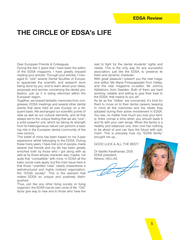# **THE CIRCLE OF EDSA's LIFE**

Dear European Friends & Colleagues,

During the last 3 years that I have been the editor of the EDSA magazine, I have greatly enjoyed reading your articles. Through your articles, I managed to "visit" several Dental faculties of Europe, to appreciate the scientific and research work being done by you, and to learn about your ideas, proposals and worries concerning the dental profession, just as it is being reformed within the European region.

Together, we shared fantastic memories from congresses, EDSA meetings and several other dental events that were held all over Europe on a frequent basis. We exchanged our scientific points of view as well as our cultural elements, and all that always led to the unique feeling that we are "one", a solid powerful unit, which by taking its strength from its heterogeneous nature can perform a leading role in the European dental community of the new century.

This belief of mine has been based on my 5-year experience whilst belonging to the EDSA. During these many years, I have met a lot of people, made several real friends and my life has been greatly enriched both by those who I got along with as well as by those whose character was, maybe, not quite that "compatible" with mine. In EDSA all the basic social rules apply, but the main issue here is that those "unwritten rules" clearly characterize a well-structured and highly civilized organization, the "EDSA society". This is the element that makes EDSA so unique and positively distinguished.

Thus, just like any other living society or living organism, the EDSA has its own circle of life. "Old" faces give way to new and to those who have the zest to fight for the dental students' rights and needs. This is the only way for any successful association, just like the EDSA, to preserve its fresh and dynamic character.

With great pleasure I present you the new magazine editor, Ms Maria Protopapadaki from Hellas, and the new magazine co-editor, Mr Johnny Käldstrom, from Sweden. Both of them are hard working, reliable and willing to give their best to the EDSA, that means to you all!

As far as the "oldies" are concerned, it's time for them to move on to their dental careers, keeping in mind all the memories and the ideals they adopted during their active involvement in EDSA. You see, no matter how much you love your family, there comes a time when you should leave it and fly with your own wings. When the family is a healthy and balanced one, then one has nothing to be afraid of and can face the future with optimism. This is precisely how my "EDSA family" brought me up…

GOOD LUCK & ALL THE BEST!

Dr Vasiliki Karathanasi, DDS EDSA president, Athens, HELLAS

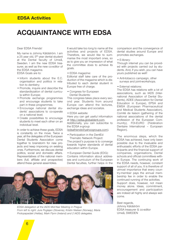# **ACQUAINTANCE WITH EDSA**

#### Dear EDSA Friends!

My name is Johnny Käldström. I am a 25 year old, 5<sup>th</sup> year dental student at the Dental faculty of Umeå, Sweden. I am the new EDSA treasurer, as well as the new co-editor of the EDSA magazine. EDSA Goals are to:

- Inform students about the E.C. organisation and politics in relation to dentistry;
- Promote, inquire and describe the standardiszation of dental curricula within Europe;
- Promote exchange programmes and encourage students to take part in these programmes;
- Encourage national dental students' associations to co-operate on a national level;
- Create possibilities to encourage students to meet each other on an individual level.

In order to achieve these goals, EDSA is constantly on the move. Twice a year, all the delegates of the European Dental Students Association come together to brainstorm for new projects and keep improving on existing ones. Furthermore, we discuss dental politics, social and domestic affairs. Representatives of the national members (full, affiliate and prospective) attend these general assemblies.

It would take too long to name all the activities and projects of EDSA. Therefore, we would like to summarise the most important ones, so as to give you an impression of what the committee does to achieve its goals.

• EDSA magazine:

Editorial staff take care of the production of the magazine which is distributed to each dental student in Europe free of charge.

• Congress for European Dental Students:

This congress takes place every second year. Students from around Europe can attend the lectures, exchange ideas and socialize.

• EDSA website:

Here you can get useful information at http://edsa.globaldent.com. Additionally, you can subscribe to the EDSA e-group

(edsafriends@yahoogroups.com).

• Participation in the DentEd Thematic Network Project: The project's purpose is to converge towards higher standards of dental education within Europe.

• European Dental Guide (EDG): Contains information about addresses and curriculum of the European Dental faculties, further helps in the



*EDSA delegation at the IADS Mid-Year Meeting in Prague From left to right: Jure Poglajen (Slovenia), Kristin Nielsen (Norway), Maria Protopapadaki (Hellas), Mark Flynn (Ireland) and 2 IADS delegates.*

comparison and the convergence of dental studies around Europe and promotes exchanges.

#### • E-library:

Through internet you can be provided with projects carried out by students. And, if you wish, you can have yours published as well!

- Anti-tobacco campaign, other surveys and joint-workshops.
- External relations:

The EDSA has relations with a lot of associations, such as IADS (International Association of Dental Students), ADEE (Association for Dental Education in Europe), EPSA and EMSA (European Pharmaceutical and Medical Students Association), Comité de liaison (gathering of the national associations of the dental profession of the European Community), FDI-EURO (Fédération Dentaire International – European Region).

The enormous steps, which the EDSA has achieved, have only been possible due to the invaluable and enthusiastic efforts of the EDSA participants and the financial support of companies, organisations, Dental schools and official committees within Europe. The continuing work of the EDSA needs, however, constant support of all of you. It is therefore of utmost importance that every country-member pays the annual membership fee in order to enable the continued running of the activities. Support does, however, not mean money alone. Ideas, commitment, encouragement and participation are indeed all highly and always welcome.

Best regards, Johnny Käldström EDSA treasurer & co-editor Umeå, SWEDEN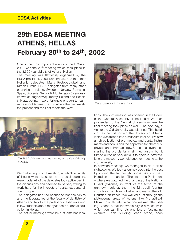# **29th EDSA MEETING ATHENS, HELLAS February 20th to 24th, 2002**

One of the most important events of the EDSA in 2002 was the 29th meeting which took place in the 3.500-year-old city of Athens, Hellas.

The meeting was flawlessly organized by the EDSA president, Vasia Karathanasi, and the other Hellenic delegates, Maria Protopapadaki and Kimon Divaris. EDSA delegates from many other countries – Ireland, Sweden, Norway, Romania, Spain, Slovenia, Serbia & Montenegro (previously known as Yugoslavia), Turkey, Poland and Bosnia & Herzegovina – were fortunate enough to learn more about Athens, the city, where the past meets the present and the East meets the West.



*The EDSA delegates after the meeting at the Dental Faculty of Athens*

We had a very fruitful meeting, at which a variety of issues were discussed and crucial decisions were made. All of the delegates took active part in the discussions and seemed to be very willing to work hard for the interests of dental students all over Europe.

The delegates had the chance to visit the clinics and the laboratories of the faculty of dentistry of Athens and talk to the professors, assistants and fellow students about many aspects of dental education in Hellas.

The actual meetings were held at different loca-



*The laboratory with the phantoms*

tions. The 29th meeting was opened in the Room of the General Assembly at the faculty. We then proceeded to the Central University (where the final meeting took place as well). The next day, a visit to the Old University was planned. This building was the first home of the University of Athens, which was turned into a museum later on. We saw a rich collection of old medical and dental instruments and books and the apparatus for chemistry, physics and pharmacology. Some of us even tried starting the old dental chair mechanism, but it turned out to be very difficult to operate. After visiting the museum, we held another meeting at the old university.

In between meetings we managed to do a bit of sightseeing. We took a journey back into the past by visiting the famous Acropolis. We also saw Herodion – the ancient Theatre –, the Parliament – where we watched the changing of the National Guard (evzones) in front of the tomb of the unknown soldier, then the Mitropoli (central church for the whole of Hellas) and many other old Christian churches. We walked a lot through the picturesque areas of Athens, like Monastiraki, Plaka, Kolonaki, etc. What one realizes after visiting Athens is that the whole city is a museum in which you can find lots and lots of fascinating exhibits. Each building, each stone, each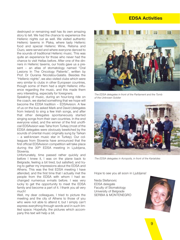## **EDSA Activities**

destroyed or remaining wall has its own amazing story to tell. We had the chance to experience the Hellenic nights out as well. We visited authentic Hellenic taverns in Plaka, where tasty Hellenic food and special Hellenic Wine, Retsina and Ouzo, were served and where everyone danced to the sounds of traditional Hellenic music. This was quite an experience for those who never had the chance to visit Hellas before. After one of the dinners in Hellenic taverns, our hosts gave us a present – an atlas of stomatology named "Oral Lesions In The Oncology Patients", written by Prof. Dr Ourania Nicolatou-Galatis. Besides the "Hellenic nights", we also visited clubs which were very similar to clubs in other European countries, though some of them had a slight Hellenic influence regarding the music, and this made them very interesting, especially for foreigners.

Speaking of music, during an hour-long ride on the coach, we started something that we hope will become the EDSA tradition – EDSAvision. A few of us on the bus asked Mark and David (delegates from Ireland) to sing a few Irish songs, and after that other delegates spontaneously started singing songs from their own countries. In the end everyone voted, and the winner of the first unofficial EDSAvision was Taha from Turkey (most of the EDSA delegates were obviously bewitched by the sounds of oriental music originally sung by Tarkan – a well-known music star in Turkey). Our colleagues from Slovenia have announced that the first official EDSAvision competition will take place during the 30<sup>th</sup> EDSA meeting in Ljubljana, Slovenia.

Unfortunately, time passed rather quickly and before I knew it, I was on the plane back to Belgrade, feeling a bit tired, but satisfied, and trying to gather my impressions about the EDSA and Athens. This was the first EDSA meeting I have attended, and the first time that I actually met the people from the EDSA with whom I had exchanged numerous e-mails before. I was very lucky to get the opportunity to meet the EDSA family and become a part of it. I thank you all very much!

Well, my dear colleagues, I tried to picture the meeting and the city of Athens to those of you who were not able to attend it, but I simply can't express everything through words and in such limited space. Hopefully, the pictures which accompany this text will help a bit.



*The EDSA delegates in front of the Parliament and the Tomb of the Unknown Soldier*



*The EDSA delegates in Acropolis, in front of the Kariatides*

Hope to see you all soon in Ljubljana!

Neda Stefanovic EDSA delegate Faculty of Stomatology University of Belgrade SERBIA & MONTENEGRO

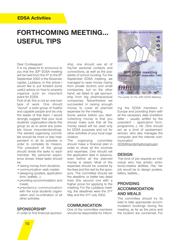# **FORTHCOMING MEETING… USEFUL TIPS**

#### Dear Ccolleagues!

It is my pleasure to announce to you that the 30th EDSA meeting will be held from the 4<sup>th</sup> to the 9<sup>th</sup> September 2002 in the Slovenian capital, Ljubljana. In this article I would like to put forward some useful advice on how to properly organize such an important event for EDSA.

First of all, this is not an one-man type of work. One should "recruit" a solid group of trustful and capable people and be only the leader of that team. I would strongly suggest that your local students' organization elects this group so as to avoid any possible future misunderstandings. The elected organizing committee should be more or less independent in all its activities in order to complete its mission. The president of the group should divide the tasks to each member. My personal experience shows, these tasks should be:

- raising money from donators;
- •communication–web master;
- designing (posters, application form, leaflets...);
- •providing accommodation and meals;
- •presidency–communication with the local students organization and co-ordination of all other activities

### **SPONSORSHIP**

In order to find financial sponsor-

ship, one should use all of his/her personal contacts and connections, as well as the possibility of school funding. For the September EDSA meeting, we managed to raise money mainly from private doctors and small companies, but on the other hand, we failed to get sponsorship from big pharmaceutical companies. Nevertheless we succeeded in raising enough money to cover all planned expenses for the meeting.

Some advice before you start: collecting money is that you should make sure that all the money raised will be used only for EDSA purposes and not for other activities of your local organization.

The organizing committee should make a financial plan in order to show all the incomes and expenses. One should set the application fees in advance, even before all the planned money is raised. Most of the expenses should be covered by the fees and the rest by the sponsors. The committee should set the deadline, or better two dead lines (the second one with a higher price) for applying to the meeting. For the Ljubljana meeting, the deadlines were the 31st May and the 31st July 2002.

### **COMMUNICATION**

One of the committee members should be responsible for inform-



*The poster for the 30th EDSA Meeting*

ing the EDSA members in Europe and providing them with all the necessary data (invitation letter – usually written by the president – application form, programme…). He /She should act as a kind of spokesman/ woman, who also manages the computer and the internet communication

(EDSAfriends@yahoogroups).

### **DESIGN**

This kind of job requires an individual who has artistic ambitions/creative abilities. His/ her job would be to design posters, letters, leaflets…

## **PROVIDING ACCOMMODATION AND MEALS**

The committee should try its best to take appropriate accommodation bookings during the meeting, as far as the price and the location are concerned. For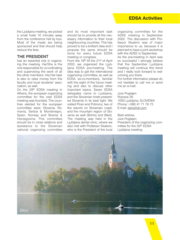## **EDSA Activities**

the Ljubljana meeting, we picked a small hotel 10 minutes away from the conference hall by bus. Most of the meals are being sponsored and that should help reduce the fees.

### **THE PRESIDENT**

has an essential role in organizing the meeting. He/She is the one responsible for co-ordinating and supervising the work of all the other members. His/Her task is also to raise money from the faculty and local students' association, as well.

On the 29th EDSA meeting in Athens, the european organizing committee for the next EDSA meeting was founded. The countries elected for the european committee were: Slovenia, Romania, Serbia & Montenegro, Spain, Norway and Bosnia & Herzegovina. This committee should be in close relations and assistance to the Slovenian national organizing committee and its most important task should be to provide all the necessary information to their local neighbouring countries. This has proved to be a brilliant idea and I propose the same should be done for every future EDSA meeting or congress.

From the 19<sup>th</sup> till the 21<sup>st</sup> of April 2002, we organized the Ljubljana EDSA pre-meeting. The idea was to get the international organizing committee, as well as EDSA ex-co-members, familiar with the sight of the future meeting and also to discuss other important topics. Seven EDSA delegates came to Ljubljana, and the Slovenian hosts presented Slovenia in its best light. We visited Piran and Potroroz, two of the resorts on Slovenian coast, and the mountain region of Slovenia as well (Bohinj and Bled). The meeting was held in the Ljubljana dental clinic, where we also met with Professor Skaleric, who is the President of the local

organizing committee for the ADEE meeting in September 2002. The discussion with Professor Skaleric was of major importance to us, because it is planned to have a joint workshop with the ADEE in September.

As the pre-meeting in April was so successful I strongly believe that the September Ljubljana meeting will continue this trend and I really look forward to welcoming you there.

For further information please do not hesitate to call me or send me an e-mail:

#### Jure Poglajen Rojceva 26 1000 Ljubljana, SLOVENIA Phone: +386 41 71 78 75 E-mail: dens@dr.com

#### Best wishes,

Jure Poglajen President of the organizing committee for the 30th EDSA Ljubljana meeting

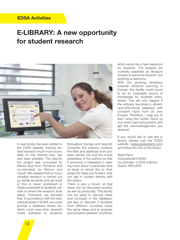# **E-LIBRARY: A new opportunity for student research**



A new facility has been added to the EDSA website, making student research much more accessible on the internet than has ever been possible. The idea for the project was conceived by Marius Bud from Romania and co-ordinated by Marius and myself. We realised that so much valuable research is carried out by dental students and yet most of this is never published or made accessible to students outside of where the research took place. Therefore, we decided that, in accordance with the educational goals of EDSA, we could provide a database where students could have their research made available to students

throughout Europe and beyond. Currently, the e-library contains the titles and abstracts from projects carried out and the e-mail addresses of the authors so that if someone is interested in reading more about a particular area of study or would like to challenge the ideas put forward, they can get in contact directly with the author.

There is also a forum, so that ideas can be discussed publicly as well as personally. This facility can be used to discuss ideas and concepts in the database, but also to discover if students from different countries share the same ideas and to propose joint projects between countries, which would be a new departure for students. The projects are currently classified as literature reviews or personal research, but anything is welcome.

With the growing tendency towards distance learning in Europe, this facility could prove to be an invaluable source of knowledge for students everywhere. This will only happen if the e-library becomes a vibrant, up-to-the-minute database with constant input from all over Europe. Therefore, I urge you to start using this facility. Send us your work, past and present, and get the acknowledgement you deserve!

If you would like to visit the elibrary, please visit the EDSA website (edsa.globaldent.com) and follow the link to the library.

Mark Flynn Vice-president EDSA Co-ordinator of EDS e-library Dublin, IRELAND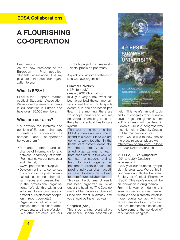## **EDSA Collaborations**

# **A FLOURISHING CO-OPERATION**

#### Dear Friends,

As the new president of the European Pharmaceutical Students' Association, it is my pleasure to introduce our organization to you.

### **What is EPSA?**

EPSA is the European Pharmaceutical Students' Association. We represent pharmacy students in 33 countries in Europe and have over 120.000 members.

### **What are our aims?**

"To develop the interests and opinions of European pharmacy students and encourage the contact and co-operation between them."

•Permanent contact and exchange of information for and between pharmacy students. (For instance via our newsletter and internet;

www2.pharmweb.net/epsa)

- •Development of a consensus of opinion on the pharmaceutical education and other relevant issues and present them to the professional organisations. (We do this within our activities, like our congress and present our statements of opinion in report booklets.)
- •Organisation of activities to increase the profile of pharmacy students and the profession. (We offer activities like our

mobility project to increase students' profile on pharmacy.)

A quick look at some of the activities we have organized:

#### Summer University  $(13<sup>th</sup> – 19<sup>th</sup>$  July)

greeksu2002@hotmail.com In July, a very sunny event has been organized, the summer university, well known for its sports events, sun, see and beach parties. In the morning, there are workshops, panels and lectures on various interesting topics in the pharmaceutical health care system.

This year is the first time that EDSA students are welcome to attend this event. Since we are going to work together in the health care system eventually, we should already use our allied organizations to learn from each other. In this way, we can start at student level to learn to work together as healthcare professionals, improving individual pharmaceutical care. Hopefully this will lead to more future collaboration.

This year, the Summer University has been organized in Hellas under the heading: "The Development of Pharmaceutical Science". Since this event is already past you should be there next year!

#### Congress (April)

This is our annual event, where our annual General Assembly is



held. This year's annual topic and 26th congress topic is innovative drugs and generics. The 26<sup>th</sup> congress will be held in Slovenia. Our 25<sup>th</sup> congress was recently held in Zagreb, Croatia, on Pharmaco-economics. If you would like to view one of the press releases, please visit http://www.pharmj.com/Editorial /20020413/forum/forum.html

4th EPSA/ESCP Symposium (29th and 30th October) www.escp.nl

Every year our students' symposium is organized. We do this in co-operation with the European Society of Clinical Pharmacy (ESCP). This year's event will be an innovation in drug therapy. From this year on, during this event, our second annual meeting will take place in order to remain in more regular contact with our active members, to focus more on our local membership needs and to take some of the workload off of our annual congress.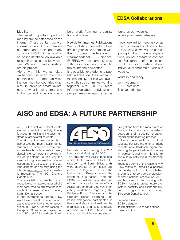## **EDSA Collaborations**

#### Mobility

The most important part of mobility are the databases on the internet. These contain general information about our membercountries and their pharmacy curricula. EPSA will be hosting an online-database on available research-projects and job-vacancies. We are currently finishing off this project.

Along with this, we stimulate exchanges between membercountries and promote activities that our member-countries organize, in order to create awareness of what is being organised in Europe and to let our members profit from our organization's structure.

Newsletter, Internet, Publications We publish a newsletter three times a year. In co-operation with the European Federation of Pharmaceutical Sciences, EUFEPS, we are currently busy with the introduction of scientific topics into the newsletter.

It is possible for students to publish articles on their research internationally. For this we have a scientific sub-committee working together with EUFEPS. More information about activities and programmes we organize can be

found on our website: www2.pharmweb.net/epsa

I look forward to meeting you at one of our events or at one of the EDSA activities we will be participating in. If you have any questions, do not hesitate to contact us. For further information on EPSA (including details about individual membership) visit our website.

Yours in pharmacy,

Jorrit Neumann EPSA president The Netherlands

# **AISO and EDSA: A FUTURE PARTNERSHIP**

AISO is the first and eldest dental student association in Italy. It was founded in 1983 and includes hundreds of associated students.

The aim of this association is to gather together mostly Italian dental students in order to create conscious health professionals in every dental field, competent in solving all related problems. In this way the association guarantees the dissemination and the discussion of the various aspects of dentistry, using the internet (www.aiso.it) and a quarterly magazine: The GO (Giovane Odontoiatria).

This association is directed by an executive committee composed of 5 members, who co-ordinate the local student representatives in every Italian Dental school.

In the international arena, AISO would like to establish a formal and active relationship with other associations in Europe. For this reason in Ljubljana, Slovenia in September, the AISO and EDSA partnership will



be determined, during the 28<sup>th</sup> International Meeting of ADEE. The previous two ADEE meetings, which took place in Stockholm (Sweden) and Bern (Switzerland), were attended by an Italian students' delegation from the University of Brescia, where the Italian NEO is based. There the EDSA demonstrated a positive and efficient participation as an official ADEE partner, organizing very interesting workshops regarding the Evidence Based Dentistry, and the Problem Based Learning. The Italian delegation participated in these workshops and realized the high scientific and cultural results reached by EDSA. These workshops permitted the various student

delegations from the most parts of Europe to make a comparison between their specific situation regarding the learning process. Not only the scientific and cultural aspects, but also the entertainment aspects were flawlessly organized, allowing the participation at wonderful parties (dancing all night long) and cultural activities in the meeting location.

These are some of the reasons why AISO wants to formalize a positive partnership with EDSA, which has shown itself to be a very professional and functional association. AISO are honoured to be working with EDSA in order to create future projects in dentistry and exchange student programmes at every European Dental school.

Giovanni Pisoni EDSA delegate Italian National Exchange Officer Brescia, ITALY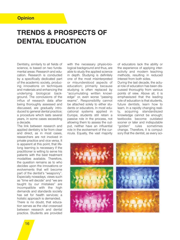## **Opinion**

# **TRENDS & PROSPECTS OF DENTAL EDUCATION**

Dentistry, similarly to all fields of science, is based on two fundamental areas: Research and education. Research is conducted by a specifically dedicated part of the academic society, producing innovations on techniques and materials and enhancing the underlying biological background. The conclusions of the influx of research data after being thoroughly assessed and discussed, are gradually introduced to general dental practice; a procedure which lasts several years, in some cases exceeding a decade.

The link between research and applied dentistry is far from clear and direct, as in most cases, researchers are not involved in private practice and vice versa. It is apparent at this point, that lifelong learning is necessary if the practitioner is willing to serve his patients with the best treatment modalities available. Therefore, the question remains as to who decides upon the innovations or evolvements that will become part of the dentist's "weaponry". Especially nowadays, views such as "time will decide" and "we are taught by our mistakes" are incompatible with the high demands and standards society has set for health services; a holistic approach is demanded. There is no doubt, that education serves as the vital crossroad between research and dental practice. Students are provided

with the necessary physio-biological background and thus, are able to study the applied science in depth. Studying is definitely one of the most misinterpreted or misunderstood aspects of education; primarily because studying is often replaced by "accumulating written knowledge" or, even worse "passing exams". Responsibility cannot be attached solely to either students or educators. In most educational systems applied in Europe, students still retain a passive role in the process, not allowing them to assess the output, neither have an influential role in the evolvement of the curricula. Equally, the vast majority of educators lack the ability or the experience of applying interactivity and modern teaching methods, resulting in reduced interest from both sides.

During the last decade, the actual role of education has been discussed thoroughly from various points of view. Above all, it is emphasiszed that the leading role of education is that students, future dentists, learn how to learn. In a rapidly changing reality, acquiring standardiszed knowledge cannot be enough; textbooks become outdated sooner or later and indisputable "golden" rules sometimes change. Therefore, it is compulsory that the dentist, as every sci-

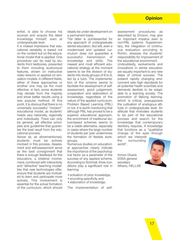## **Opinion**

entist, is able to choose his sources and acquire the latest knowledge himself, even at undergraduate level.

It is indeed impressive that educational variability is based not on the content but on the educational model that is applied. One procedure can be read by students from textbooks, presented to them including audiovisual features, shown on instructive video lessons or applied on simulation models. In different fields, either of these approaches or another one may be the most effective; in fact, some students may deviate from the majority and show better results using a less popular method. At this point, it is obvious that there is no universally successful "modern" educational model, as students' needs vary nationally, regionally and individually. There can only be general, yet effective principles and guidelines that guarantee the best result from the educational process.

Above all, as aforementioned, students must be actively involved in this process. Assessment and self-assessment serve as the best consignment that there is enough feedback for the educators, a bilateral involvement; combined with interactivity and "attractive" teaching modalities that new technologies offer, ensure that students are motivated to learn and participate more actively. This involvement is essential for the actual formation of the curriculum, which should ideally be under development on a permanent basis.

The latter is quintessential for any approach of undergraduate dental education. But still, even a modernized and updated curriculum does not guarantee a successful transmission of knowledge and skills. The newest and most efficient educational strategy at the moment seems to be the division of students into study-groups of 6 to 8, led by a tutor. The implementation of this scheme seems to facilitate the development of selfassessment, good judgement, cooperation and elaboration of knowledge, regardless of the nature of the applied curriculum, Problem Based Learning (PBL) or not. It is worth mentioning that although PBL has proved to be a superior educational approach, the enrichment of traditional lecture-based schemes seems to be a viable alternative, especially in cases where the large number of students per year undermines the formation of flexible workgroups.

Numerous studies on educational approaches clearly indicate the importance of the psychological factor as a parameter of the success of any applied scheme. According to Schmidt, three conditions play a significant role in learning:

- activation of prior knowledge,
- encoding specificity and
- elaboration of knowledge.

The implementation of self-

assessment procedures as described by Ericson, may give an important impetus even to non-PBL systems. Supplementary, the integration of continuous evaluation according to Rohlin, stresses the students' responsibility for improvement of the educational environment.

Undoubtedly, evolvements and innovations in dental education are equally important to any new steps of clinical success. The present rapidly changing environment sets high standards for all potential health scientists and demands dentists to be adaptable to a learning society. The promotion of lifelong learning, which is critical, presupposes the cultivation of analogous attitude in undergraduate level. An attitude that motivates students to be part of the educational process and search for the knowledge that contemporary dentistry requires. A knowledge that functions as a "qualitative change of the eyes through

which we interpret the surrounding world".

Kimon Divaris EDSA general secretary Athens, HELLAS

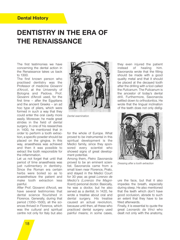## **Dental History**

# **DENTISTRY IN THE ERA OF THE RENAISSANCE**

The first testimonies we have concerning the dental action in the Renaissance takes us back to 1300.

The first known person who practised dentistry was the Professor of medicine *Giovanni d'Arcoli*, at the University of Bologna and Padova. Prof. Giovanni d'Arcoli used, for the first time – after the Egyptians and the ancient Greeks – an ad hoc type of pliers, which were formed in such a way that they could enter the oral cavity more easily. Moreover, he made great strides in the field of dental surgery. In one of his researches in 1400, he mentioned that in order to perform a tooth extraction, a specific powder should be placed on the gingiva. In this way, anaesthesia was achieved and then it was possible to extract the tooth responsible for the inflammation.

Let us not forget that until that period of time anaesthesia was just rudimentary in dentistry. Since the Roman era certain herbs were boiled so as to anaesthetisze the patient and make tooth extraction less painful.

After Prof. Giovanni d'Arcoli, we have several testimonies that dental science flourished in Florence. Generally, during that period (1350–1500), all the sciences thrived in Florence, which was the cultural and spiritual centre not only for Italy but also



*Dental examination*

for the whole of Europe. What proved to be instrumental in this spiritual development is the Medici family, since they sponsored every scientist who showed signs of great development potential.

Among them, *Pietro Savonarola* proved to be an eminent scientist. Savonarola came from a small town near Florence, Prato, and stayed in the Medici Court for 30 year, as great *Lorenzo de Medici's (Lorenzo the Magnificent)* personal doctor. Basically, he was a doctor, but he also served as a dentist. In 1420, he wrote a treatise about oral and dental surgery. His treatise caused an actual revolution, because until then, all these who practiced dental surgery used painful means; in some cases,

they even injured the patient instead of healing him. Savonarola wrote that the filling should be made with a good quality metal and that it should be placed at the decayed tooth after the drilling with a tool called the *Pulicanum*. The Pulicanum is the ancestor of today's dental drill. Furthermore, Savonarola settled down to orthodontics. He wrote that the lingual inclination of the teeth does not only disfig-



*Dressing after a tooth extraction*

ure the face, but that it also impedes the breath, especially during sleep. He also mentioned that the teeth which don't have good occlusion, abrade to such an extent that they have to be filled afterwards.

Finally, it is essential to quote the great *Leonardo da Vinci* who dealt not only with the anatomy,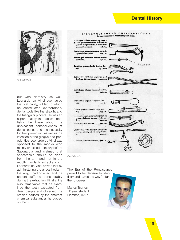## **Dental History**



*Anaesthesia*

but with dentistry as well. Leonardo da Vinci overhauled the oral cavity, added to which he constructed extraordinary dental tools like the straight and the triangular pincers. He was an expert mainly in practical dentistry. He knew about the unpleasant consequences of dental caries and the necessity for their prevention, as well as the infection of the gingiva and periodontitis. Leonardo da Vinci was opposed to the monks who mainly practised dentistry before Savonarola and claimed that anaesthesia should be done from the arm and not in the mouth in order to extract a tooth. Leonardo da Vinci proved that by administering the anaesthesia in that way, it had no effect and the patient suffered considerably during the extraction. Finally, it is also remarkable that he examined the teeth extracted from dead people and observed the erosion caused by the different chemical substances he placed on them.



*Dental tools*

The Era of the Renaissance proved to be decisive for dentistry and paved the way for further progress.

Marios Tsertos 5th year student Florence, ITALY

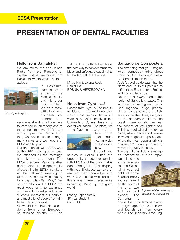# **PRESENTATION OF DENTAL FACULTIES**

### **Hello from Banjaluka!**

We are Milica Ivic and Jelena Radic from the Republic of Srpska, Bosnia. We come from Banjaluka, where we study stomatology.



*University of Banjaluka*

In Banjaluka, stomatology is a part of the Medical Faculty and this is our main problem. We have many difficulties with our dental programme. It is

very general and varied. We have to learn too much theory, and at the same time, we don't have enough practice. Because of that, we would like to change many things and we hope that EDSA can help us.

Our first contact with EDSA was at the 29th meeting in Athens. We attended all the meetings and liked it very much. The EDSA president, Vasia Karathanasi, offered us the opportunity of becoming full EDSA members at the following meeting in Slovenia. Of course we are going to accept this offer! Why? Because we believe that EDSA is a great opportunity to exchange our dental knowledge with other students, represent our country and meet a lot of people from different parts of Europe.

We would like to invite dental students from other European countries to join the EDSA, as well. Both of us think that this is the best way to achieve students' ideas and safeguard equal rights for students all over Europe.

Milica Ivic & Jelena Radic **Banjaluka** BOSNIA & HERZEGOVINA

### **Hello from Cyprus…!**

I come from Cyprus, the beautiful island in the Mediterranean. which is has been divided for 28 years now. Unfortunately, at the University of Cyprus, there is no dental education. Therefore, we – the Cypriots – have to go to



Hellas or to other countries, in order to study dentistry.

Through my

studies in Hellas, I had the opportunity to become familiar with EDSA and the work that is done through it. After helping with the anti-tobacco campaign, I realized that knowledge and work is combined with fun and this is what makes it even more interesting. Keep up the good work!

Stacey Papapostolou 4th year student **CYPRUS** 

### **Santiago de Compostela**

The first thing that you imagine when somebody talks about Spain is: Sun, Toros and Fiesta. But Spain is much more...

A USA travel guide says, that the North and South of Spain are as different as England and France, and this is utterly true.

On the north-west coast, the region of Galicia is situated. This land is a mixture of green forests, Celt legends, huge granitestones, bagpipes and brave fishers who risk their lives, everyday, on the dangerous cliffs of the coast, where you still can hear the echoes of lost lighthouses. This is a magical and mysterious place, where people still believe in witches, ghosts, spells... and where the most popular drink is "Queimada"; a drink prepared by wizards to purify the soul…

The capital of Galicia is Santiago de Compostela. It is an impor-

tant place due to the University and the Cathedral (if you get hold of some Spanish Euros, you can see it on the coins of the one, two and five cent pieces). The Cathedral is



*Top view of the University of Santiago de Compostela*

one of the most famous places of pilgrimage for Catholicism and tourists visit from everywhere. The University is the lung,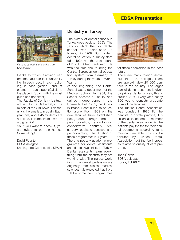## **EDSA Presentation**



*Famous cathedral of Santiago de Compostela*

thanks to which, Santiago can breathe. You can feel "university life" in each road, in each building, in each garden... and, of course, in each pub (Galicia is the place in Spain with the most pubs per inhabitant).

The Faculty of Dentistry is situated next to the Cathedral, in the middle of the Old Town. This faculty is the smallest in Spain. Each year, only about 45 students are admitted. This means that we are a big family!

So, if you want to check it, you are invited to our big home… Come along!

David Puente EDSA delegate Santiago de Compostela, SPAIN

### **Dentistry in Turkey**

The history of dental schools in Turkey goes back to 1909's. The year in which the first dental school was established in Istanbul in 1909. But modern dental education in Turkey started in 1934 with the great efforts of Prof. Dr Alfred Kantrowicz. He was the first one to bring the Central European dental education system from Germany to Turkey during the years of World War II.

At the beginning, the Dental School was a department of the Medical School. In 1964, the School became a Faculty and gained independence in the University. Until 1962, the School in Istanbul continued its education alone. From 1962 on, the new faculties have established postgraduate programmes in prosthodontics, endodontics, conservative dentistry, oral surgery, pediatric dentistry and periodontology. The duration of these programmes is 4 years.

There is not any academic programme for dental assistants and dental hygienists in Turkey. Dental assistants learn everything from the dentists they are working with. The nurses working in the dental profession are originally from clinical medical sciences. It is expected that there will be some new programmes



for these specialities in the near future.

There are many foreign dental students in the colleges. There are approximately 20 000 dentists in the country. The larger part of dental treatment is given by private dental offices; this is around 70 %. Every year, nearly 800 young dentists graduate from all the faculties.

The Turkish Dental Association was founded in 1986. For the dentists in private practice, it is essential to become a member of the dental association. All the patients pay the fee for their dental treatments according to a minimum fee table, which is distributed by Turkish Dental Association, but the fee increases relative to quality of care provided.

Taha Özkan EDSA delegate Konya, TURKEY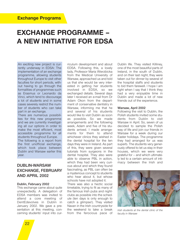# **EXCHANGE PROGRAMME – A NEW INITIATIVE FOR EDSA**

An exciting new project is currently underway in EDSA: The implementation of an exchange programme, allowing students throughout Europe to visit other faculties for short periods, without having to go through the formalities of programmes such as Erasmus or Leonardo da Vinci, which tend to discourage a lot of students and in some cases severely restrict the number of students who can take part in an exchange.

There are numerous possibilities for this new programme and we are currently investigating all our options in order to make the most efficient, most accessible programme for all students throughout Europe. The following is a report from the first unofficial exchange, which took place between Dublin and Warsaw earlier this year.

## **DUBLIN-WARSAW EXCHANGE, FEBRUARY AND APRIL 2002**

#### **Dublin, February 2002**

This exchange came about quite unexpectedly. A delegation of EDSA members was invited to attend a core meeting of DentEdevolves in Dublin in January 2002. We gave a presentation at this meeting, concerning students' input into curriculum development and about EDSA. Following this, a lovely lady, Professor Maria Wierzbicka from the Medical University of Warsaw, approached us and told us that she would be very interested in getting her students involved in EDSA, so we exchanged details. Several days later I received an e-mail from Dr Adam Okon from the department of conservative dentistry in Warsaw, informing me that he and several of his students would like to visit Dublin as soon as possible. So we made arrangements and the following week, Adam and five of his students arrived. I made arrangements for them to attend whichever clinics they wished in the dental hospital for the ten days they were in Ireland. As part of this, they were given several tutorials from surgeons in the dental hospital. They also were able to observe PBL in action, which they had been very curious about and which they found fascinating, as PBL can often be a mysterious concept to students who hear about it, but whose schools have not adopted it.

There was also a hectic social timetable, trying to fit as many of the famous Irish pubs and nightclubs as possible into the schedule (ten days is only enough to catch a glimpse!). They visited Navan in the Irish countryside for the weekend to take a break from the ferocious pace of

Dublin life. They visited Killiney, one of the most beautiful parts of Ireland, in the south of Dublin, and on their last night, they were taken out for dinner by several of the hospital staffs and students to bid them farewell. I hope I am right when I say that I think they had a very enjoyable time in Dublin and made a lot of new friends out of the experience.

#### **Warsaw, April 2002**

Following the visit to Dublin, the Polish students invited some students from Dublin to visit Warsaw in April. So, seven of us decided to sample the Polish way of life and join our friends in Warsaw for a week during our Easter holidays. The programme they had arranged for us was superb. The students very generously offered to let us stay in their houses, which we were very grateful for – and which ultimately led to a certain amount of intimacy between the Irish and



*Irish students at the dental clinic of the faculty in Warsaw*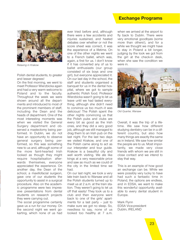## **Exchange Programs**



*Relaxing in Krakow*

Polish dental students, to greater and lesser degrees!

On the first morning, we went to meet Professor Wierzbicka again and had a very warm welcome to Poland and to the faculty. Throughout the week we were shown around all the departments and introduced to most of the prominent members of staff, including the Dean and the heads of department. One of the most interesting moments was when we visited the General Surgery department and observed a mastectomy being performed. In Dublin, we do not have an opportunity to observe general surgery being performed, so this was something new to us and, although some of the more faint-hearted Irish looked as though they might require hospitalisation afterwards themselves, everyone appreciated the experience. On another day, the Dean of the school, a maxillofacial surgeon, gave one of our students the opportunity to assist in a surgical procedure. Also on the academic programme were two impressive presentations from dental students on research projects they were carrying out.

The social programme certainly gave us a run for our money. On the second night we went gokarting, which none of us had ever tried before and, although there were a few accidents and injuries sustained, and heated debates over whether or not the score sheet was correct, it was the experience of a lifetime. On one of the other nights we went to a French ballet, which was, again, a first for us. I don't know if it has converted any of us to ballet enthusiasts (our group consisted of six boys and one girl), but everyone appreciated it. On our last day in the school, the staff and students organised a banquet for us in the dental hospital, where we got to sample authentic Polish food. Professor Wierzbicka wasn't going to let us leave until we had tasted everything, although she didn't need to convince us too much–it was delicious! The Polish spent the other nights convincing us that the Polish pubs and clubs are every bit as good as the Irish ones, and they did a very good job, although we still managed to drag them to an Irish pub on the last night. For the last two days we visited Krakow, and one of the Polish came along to act as our interpreter and tour guide. Krakow is a beautiful city and well worth visiting. We ate like kings at a very reasonable price and saw as much as we could of the city in the limited time we had.

On our last night, we took a very late train back to Warsaw and all the Polish students turned up to meet us at 2 a.m. at the train station. They weren't going to let us off that easily! They took us to a club and then everyone went back to one of the girls' apartments for a last party – just to make sure we got no sleep. So, needless to say, none of us looked too healthy at 7 a.m.

when we arrived at the airport to fly back to Dublin. There were very emotional goodbyes (some more than others!), and for a while we thought we might have to stay in Poland a bit longer, judging by the look we got from the girl at the check-in desk, when she saw the condition we were in.



*Old Quarter, Warsaw*

Overall, it was the trip of a lifetime. We saw how different studying dentistry can be in a different country, but also how many things are exactly the same as in Ireland. We saw how similar the people are to us. Most importantly, we made very close friends with whom we are still in close contact and we intend to stay that way.

This is an example of how good an exchange can be. While we were possibly very lucky to have had such a fantastic time in Poland, the options are endless, and in EDSA, we want to make this wonderful opportunity available to every dental student in Europe.

Mark Flynn EDSA Vice-president Dublin, IRELAND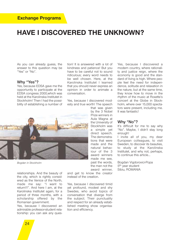# **HAVE I DISCOVERED THE UNKNOWN?**

As you can already guess, the answer to this question may be "Yes" or "No".

### **Why "Yes"?**

Yes, because EDSA gave me the opportunity to participate at the EDSA congress 2000,which was held at the Karolinska Institutet in Stockholm! Then I had the possibility of establishing a number of tion! It is answered with a lot of kindness and patience! But you have to be careful not to sound ridiculous; every word needs to be well chosen. Here, at the Karolinska Institutet I learned that you should never express an opinion in order to animate a conversation.

Yes, because I discovered modesty and true worth! The speech



*Bogdan in Stockholm*

relationships. And the beauty of the city, which is rightly considered as the Venice of the North, made me say: "I want to return!!!". And here I am, at the Karolinska Institutet again, for a period of three months, with a scholarship offered by the Romanian government.

Yes, because I discovered an admirable professor-student relationship: you can ask any questhat was given by the 3 Nobel Prize winners in Aula Magna at the University of Stockholm was a simple yet direct speech. The demonstrations that were made and the natural behaviour of the 3 award winners made me see, past the words, the man not the award winner,

and get to know the creator instead of the creation.

Yes, because I discovered timid yet profound, modest and shy Swedes, who avoid topics of conversation that diverge from the subject. Their punctuality and respect for an already established meeting show organisation and efficiency.

Yes, because I discovered a modern country, where rationality and justice reign, where the economy is good and the standard of living is high. Where people feel the need for independence, solitude and relaxation in the nature, but at the same time, they know how to move in the rhythm of the music at Roxette's concert at the Globe in Stockholm, where over 15,000 spectators were present, including me. It was fantastic!

#### **Why "No"?**

It's difficult for me to say why "No". Maybe, I didn't stay long enough!

I invite all of you, my dear European colleagues, to visit Sweden, to discover its beauties, to study at the Karolinska Institutet, and why not, perhaps, to continue this article…

Bogdan Vigdorovici-Popa 5th year student Sibiu, ROMANIA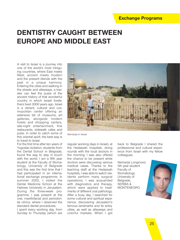# **DENTISTRY CAUGHT BETWEEN EUROPE AND MIDDLE EAST**

A visit to Israel is a journey into one of the world's most intriguing countries, where East meets West, ancient meets modern and the present blends with the past in a unique harmony. Entering the cities and walking in the streets and alleyways, a traveler can feel the pulse of the ancient history of that wonderful country in which Israeli forefathers lived 3000 years ago. Israel is a vibrant, cultural and cosmopolitan center offering an extensive list of museums, art galleries, alongside modern hotels and shopping centers, late-night entertainment, fine restaurants, sidewalk cafes and pubs. In order to catch some of this oriental spirit, the best way is to travel to Israel.

For the first time after ten years of Yugoslav isolation, students from the Dental School in Belgrade, found the way to stay in touch with the world. I am a fifth year student at the Faculty of Stomatology, University of Belgrade and this was the first time that I had participated in an international exchange programme. In summer 2002, I visited the Dental Medicine School at the Hebrew University in Jerusalem. During the three-week programme, I was present at the oral, maxillofacial and periodontal clinics, where I observed the standard dental procedures.

I spent every working day, from Sunday to Thursday (which are



*Nemanja in Israel*

regular working days in Israel), at the Hadassah hospitals, doing rounds with the local doctors in the morning. I was also offered the chance to be present while doctors were discussing various medical cases. Thanks to the teaching staff at the Hadassah hospitals, I was able to watch residents perform many surgical operations. I was acquainted with diagnostics and therapy, which were applied to treatments of different oral pathology. After a busy day, I searched for some cultural and spiritual experience, discovering Jerusalem's famous landmarks and its antiquities, as well as alleyways and colorful markets. When I got

back to Belgrade I shared the professional and cultural experience from Israel with my fellow colleagues.

Nemanja Longinovic 5th year student Faculty of Stomatology University of Belgrade, SERBIA & MONTENEGRO

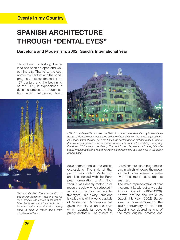# **SPANISH ARCHITECTURE THROUGH "DENTAL EYES"**

**Barcelona and Modernism: 2002, Gaudí's International Year**

Throughout its history, Barcelona has been an open and welcoming city. Thanks to the economic momentum and the social progress, between the end of the 19<sup>th</sup> century and the beginning of the 20<sup>th</sup>, it experienced a dynamic process of modernisation, which influenced town



*Sagrada Familia: The construction of this church began on 1882 and was his main project. The church is still not finished because one of the conditions of its construction was that the money used to build it would come from people's donations.*



*Milà House: Pere Milà had seen the Batlló house and was enthralled by its beauty, so he asked Gaudí to construct a large building of rental flats on his newly acquired land. Its façade, made of stone, gave the house the contemptuous nickname of La Pedrera (the stone quarry) since stones needed were cut in front of the building, occupying the street. (Not a very nice view…). The roof is peculiar, because it is replete with strangely shaped chimneys and ventilators and from it you can make out all the sights of Barcelona.*

development and all the artistic expressions. The style of that period was called Modernism and it coincided with the European formulation of Art Nouveau. It was deeply rooted in all areas of society which adopted it as one of the most representative styles. This is why Barcelona is called one of the world capitals of Modernism. Modernism has given the city a unique style which extends far beyond the purely aesthetic. The streets of Barcelona are like a huge museum, in which windows, the mosaics and other elements make even the most basic objects seem art.

The main representative of that movement is, without any doubt, Antoni Gaudí (1852-1926). Known around the world as Gaudí, this year (2002) Barcelona is commemorating the 150<sup>th</sup> anniversary of his birth. Gaudí is considered as one of the most original, creative and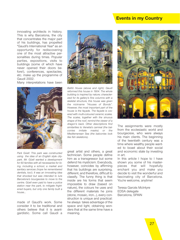## **Events in my Country**

innovating architects in history. This is why Barcelona, the city that concentrates the major part of his buildings, has propelled "Gaudí's International Year" as an opportunity for rediscovering one of the most attractive personalities during times. Popular parties, expositions, visits to buildings (some of which have never opened their doors before!), conferences, spectacles, etc. make up the programme of Gaudí 2002.

Many interpretations have been





*Batlló House (above and right): Gaudí reformed this house in 1904. The whole building is inspired by nature; characterized for its gallery's fine columns with a skeletal structure, this house was given the nickname "Houses of Bonds". However, the most important part of the house is the façade. The façade is covered with multi-coloured ceramic scales. The scales, together with the sinuous shape of the roof, remind the viewer of a dragon's back. Other descriptions find similarities to Venetia's carnival (the balconies imitate masks) or the Mediterranean Sea (the balconies look like fish skeletons).*

*Park Güell: This park was constructed using the idea of an English style citypark. Mr. Güell wanted a development for 60 families with all necessaries for living, including a school, a market and sanitary services (hope he remembered dentists, too!). It was an innovating idea that shocked but was intended to lure Barcelona's bourgeoisie to move to the centre. Güell even paid to have a police station near the park, to mitigate frightened buyers, but only one family built a house…*

made of Gaudí's work. Some consider it to be traditional and others believe that it is avantgardistic. Some call Gaudí a great artist and others, a great technician. Some people define him as a transgressor but some defend his mysticism. Everybody, however, coincides by affirming that his buildings are surprising, different, and therefore, difficult to classify. The funny thing is that inside are his forms that seem impossible to draw (based on nature), the colours he uses and the different materials he joins (stone, mosaic, iron...), every construction is unique and practical: he always takes advantage of the space and light, obtaining wonders that at the same time have a meaning.



The assignments were mostly from the ecclesiastic world and bourgeoisie, who were always his main clients. The beginning of the twentieth century was a time where wealthy people wanted to boast about their social and economic state by investing in art.

In this article I hope to I have shown you some of his masterpieces that will hopefully enchant you and make you decide to visit the wonderful and fascinating city of Barcelona. You're welcome, anytime!

Teresa Garcés McIntyre EDSA delegate Barcelona, SPAIN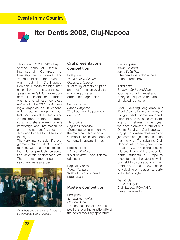## **Events in my Country**



# **Iter Dentis 2002, Cluj-Napoca**

This spring (11<sup>th</sup> to 14<sup>th</sup> of April) another serial of 'Dentis'<br>International Congress International Congress of Dentistry for Students and Young Dentists – took place. It was held in Cluj-Napoca, Romania. Despite the high international profile, this year the congress was an "all Romanian business". No international student was here to witness how close we've got to the 29th EDSA meeting's organisation in Athens, which was, in my opinion, perfect. 220 dental students and young doctors met in Transsylvania to share in each other's knowledge and information, to eat at the students' canteen, to drink and to have fun till late into the night.

The very intense scientific programme started at 8:30 each morning with oral presentations, then dental products presentation, scientific conferences, etc. The most meritorious researchers were awarded.



*Organizers and participants: factors that concurred for Dentis' eruption.*

### **Oral presentations competition**

First prize: *Toma Lucian Ciocan, Oana Apostolescu*  'Pilot study of teeth eruption and root formation by digital morphing of serial orthopantomographies'

Second prize: *Adrian Dragomir*  'The haemophilic patient in dentistry'

Third prize: *Bogdan Galbinasu*  'Comparative estimation over the marginal adaptation of Composite resins and Ionomer cements in crowns' fillings'

Special prize: *Mihnea Nicolescu*  'Point of view' – about dental education

Popularity prize: *Adrian Tandara*  'A short history of dental prophylaxis'

### **Posters competition**

First prize: *Simona Humeniuc, Cristina Boca* 'The connotation of teeth malpositions over the functionality of the dental-maxillary apparatus'

Second prize: *Talida Chindris, Ioana-Sofia Pop* 'The dental-periodontal care during pregnancy'

Third prize: *Bogdan Vigdorovici-Popa* 'Comparison of manual and rotary techniques to prepare simulated root canal'

After 3 exciting long days, our 'Dentis' came to an end. Many of us got back home enriched, after enjoying the success, learning from mistakes. For next year we have promised a tour of our Dental Faculty, in Cluj-Napoca. So, get your researches ready or just come and join the fun in the main city of Transylvania, Cluj-Napoca, at the next years' serial of 'Dentis'. We are trying to make this event one of the places for dental students in Europe to meet, to share the latest news in our field, to discuss our common problems, to make new friends, to visit different places, to party in students' style.

Dan Gruia EDSA delegate Cluj-Napoca, ROMANIA dangruia@email.ro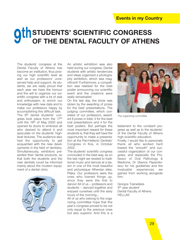# **STUDENTS' SCIENTIFIC CONGRESS OTHE STUDENTS' SCIENTIFIC CONGRESS<br>
OF THE DENTAL FACULTY OF ATHENS**

The students' congress at the Dental Faculty of Athens has become an institution, thus proving our high scientific level as well as our professors' unreserved help and support. As students, we are really proud that each year we have the honour and the will to organize our scientific congress with a lot of zeal and enthusiasm, to enrich our knowledge with new data and to make our professors happy by accomplishing this difficult task. The 9th dental students' congress took place from the 17th until the 19th of May 2002 and opened its doors to embrace all who desired to attend it and speculate on the students' highlevel lectures. The audience also had the opportunity to get acquainted with the new developments in the field of dentistry. Simultaneously, exhibitors presented their dental products, so that both the students and the new dentists could be informed mainly about the modern equipment of a dental clinic.



An artistic exhibition was also held during our congress. Dental students with artistic tendencies and ideas organized a photography exhibition, which was magnificent! Furthermore, a competition was realised for the best poster announcing our scientific event and the creations were really remarkable!

On the last day, the show was stolen by the awarding of prizes for the best presentations. The judging committee, which consisted of our professors, awarded 8 prizes in total; 4 for the best oral presentations and 4 for the best posters. But perhaps the most important reward for these students is, that they will have the opportunity to make a presentation at the Pan-Hellenic Dentists' Congress in Kos, in October 2002.

The students' scientific congress concluded in the best way, as on the last night we reveled to traditional music and dances at a tavern in one of the most beautiful and picturesque Athenian sites. Plaka. Our professors were the ones who livened things up, since they were the first to dance! All of us – professors and students – danced together and enjoyed ourselves until the early hours of the morning…

All of us who belong to the organizing committee hope that this year's congress proved to be not only equal to the previous ones but also superior. And this is a



*The organizing committee*

testament to the constant progress as well as to the students' of the Dental Faculty of Athens high scientific education. Finally, I would like to personally thank all who worked hard toward the "smooth" and successful organization of our congress, and especially the Professor of Oral Pathology & Medicine, Dr *Stavros Papanikolaou* for his guidelines and the invaluable experiences we gained from working alongside him.

Giorgos Tzanetakis 5th year student Dental Faculty of Athens HELLAS